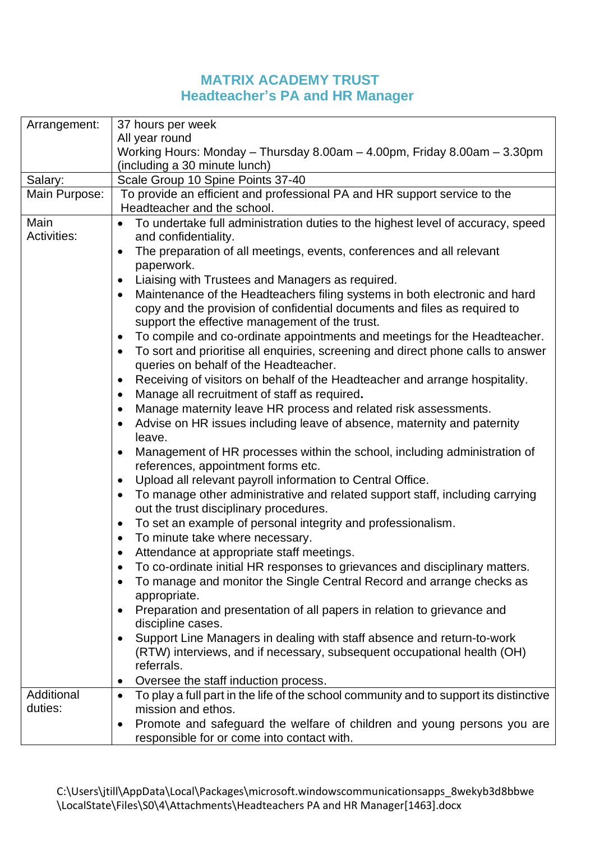## **MATRIX ACADEMY TRUST Headteacher's PA and HR Manager**

| Arrangement:          | 37 hours per week                                                                                                                                                                                                                                  |  |  |
|-----------------------|----------------------------------------------------------------------------------------------------------------------------------------------------------------------------------------------------------------------------------------------------|--|--|
|                       | All year round                                                                                                                                                                                                                                     |  |  |
|                       | Working Hours: Monday - Thursday 8.00am - 4.00pm, Friday 8.00am - 3.30pm                                                                                                                                                                           |  |  |
|                       | (including a 30 minute lunch)                                                                                                                                                                                                                      |  |  |
| Salary:               | Scale Group 10 Spine Points 37-40                                                                                                                                                                                                                  |  |  |
| Main Purpose:         | To provide an efficient and professional PA and HR support service to the                                                                                                                                                                          |  |  |
|                       | Headteacher and the school.                                                                                                                                                                                                                        |  |  |
| Main                  | To undertake full administration duties to the highest level of accuracy, speed                                                                                                                                                                    |  |  |
| <b>Activities:</b>    | and confidentiality.                                                                                                                                                                                                                               |  |  |
|                       | The preparation of all meetings, events, conferences and all relevant                                                                                                                                                                              |  |  |
|                       | paperwork.                                                                                                                                                                                                                                         |  |  |
|                       | Liaising with Trustees and Managers as required.                                                                                                                                                                                                   |  |  |
|                       | Maintenance of the Headteachers filing systems in both electronic and hard<br>$\bullet$                                                                                                                                                            |  |  |
|                       | copy and the provision of confidential documents and files as required to                                                                                                                                                                          |  |  |
|                       | support the effective management of the trust.                                                                                                                                                                                                     |  |  |
|                       | To compile and co-ordinate appointments and meetings for the Headteacher.<br>$\bullet$                                                                                                                                                             |  |  |
|                       | To sort and prioritise all enquiries, screening and direct phone calls to answer<br>$\bullet$                                                                                                                                                      |  |  |
|                       | queries on behalf of the Headteacher.                                                                                                                                                                                                              |  |  |
|                       | Receiving of visitors on behalf of the Headteacher and arrange hospitality.<br>$\bullet$                                                                                                                                                           |  |  |
|                       | Manage all recruitment of staff as required.<br>$\bullet$                                                                                                                                                                                          |  |  |
|                       | Manage maternity leave HR process and related risk assessments.<br>$\bullet$                                                                                                                                                                       |  |  |
|                       | Advise on HR issues including leave of absence, maternity and paternity                                                                                                                                                                            |  |  |
|                       | leave.                                                                                                                                                                                                                                             |  |  |
|                       | Management of HR processes within the school, including administration of<br>$\bullet$                                                                                                                                                             |  |  |
|                       | references, appointment forms etc.                                                                                                                                                                                                                 |  |  |
|                       | Upload all relevant payroll information to Central Office.<br>$\bullet$                                                                                                                                                                            |  |  |
|                       | To manage other administrative and related support staff, including carrying<br>$\bullet$                                                                                                                                                          |  |  |
|                       | out the trust disciplinary procedures.                                                                                                                                                                                                             |  |  |
|                       | To set an example of personal integrity and professionalism.<br>$\bullet$                                                                                                                                                                          |  |  |
|                       | To minute take where necessary.<br>$\bullet$                                                                                                                                                                                                       |  |  |
|                       | Attendance at appropriate staff meetings.<br>$\bullet$                                                                                                                                                                                             |  |  |
|                       | To co-ordinate initial HR responses to grievances and disciplinary matters.                                                                                                                                                                        |  |  |
|                       | To manage and monitor the Single Central Record and arrange checks as                                                                                                                                                                              |  |  |
|                       | appropriate.                                                                                                                                                                                                                                       |  |  |
|                       | Preparation and presentation of all papers in relation to grievance and                                                                                                                                                                            |  |  |
|                       | discipline cases.                                                                                                                                                                                                                                  |  |  |
|                       | Support Line Managers in dealing with staff absence and return-to-work                                                                                                                                                                             |  |  |
|                       | (RTW) interviews, and if necessary, subsequent occupational health (OH)                                                                                                                                                                            |  |  |
|                       | referrals.                                                                                                                                                                                                                                         |  |  |
|                       | Oversee the staff induction process.<br>٠                                                                                                                                                                                                          |  |  |
|                       | ٠                                                                                                                                                                                                                                                  |  |  |
|                       |                                                                                                                                                                                                                                                    |  |  |
|                       |                                                                                                                                                                                                                                                    |  |  |
|                       |                                                                                                                                                                                                                                                    |  |  |
| Additional<br>duties: | To play a full part in the life of the school community and to support its distinctive<br>mission and ethos.<br>Promote and safeguard the welfare of children and young persons you are<br>$\bullet$<br>responsible for or come into contact with. |  |  |